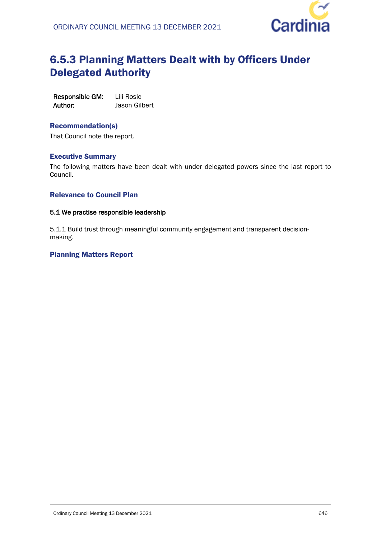

# 6.5.3 Planning Matters Dealt with by Officers Under Delegated Authority

| Responsible GM: | Lili Rosic    |
|-----------------|---------------|
| Author:         | Jason Gilbert |

## Recommendation(s)

That Council note the report.

## Executive Summary

The following matters have been dealt with under delegated powers since the last report to Council.

### Relevance to Council Plan

#### **5.1 We practise responsible leadership**

5.1.1 Build trust through meaningful community engagement and transparent decisionmaking.

## Planning Matters Report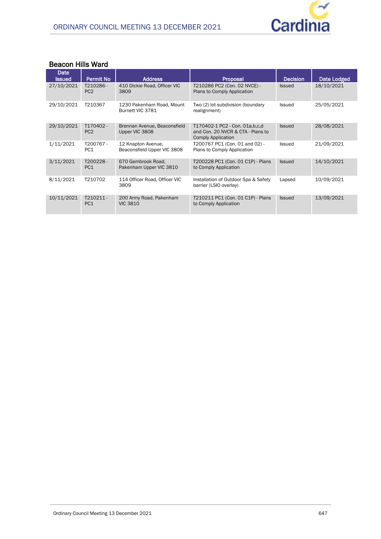

### **Beacon Hills Ward**

| Date<br><b>Issued</b> | Permit No                   | <b>Address</b>                                    | Proposal                                                                                     | <b>Decision</b> | <b>Date Lodged</b> |
|-----------------------|-----------------------------|---------------------------------------------------|----------------------------------------------------------------------------------------------|-----------------|--------------------|
| 27/10/2021            | T210286-<br>PC <sub>2</sub> | 410 Dickie Road, Officer VIC<br>3809              | T210286 PC2 (Con. 02 NVCE) -<br>Plans to Comply Application                                  | <b>Issued</b>   | 18/10/2021         |
| 29/10/2021            | T210367                     | 1230 Pakenham Road, Mount<br>Burnett VIC 3781     | Two (2) lot subdivision (boundary<br>realignment)                                            | Issued          | 25/05/2021         |
| 29/10/2021            | T170402-<br>PC <sub>2</sub> | Brennan Avenue, Beaconsfield<br>Upper VIC 3808    | T170402-1 PC2 - Con. 01a, b, c, d<br>and Con. 20 NVCR & CTA - Plans to<br>Comply Application | <b>Issued</b>   | 28/08/2021         |
| 1/11/2021             | T200767-<br>PC <sub>1</sub> | 12 Knapton Avenue.<br>Beaconsfield Upper VIC 3808 | T200767 PC1 (Con. 01 and 02) -<br>Plans to Comply Application                                | <b>Issued</b>   | 21/09/2021         |
| 3/11/2021             | T200228-<br>PC <sub>1</sub> | 670 Gembrook Road.<br>Pakenham Upper VIC 3810     | T200228 PC1 (Con. 01 C1P) - Plans<br>to Comply Application                                   | <b>Issued</b>   | 14/10/2021         |
| 8/11/2021             | T210702                     | 114 Officer Road, Officer VIC<br>3809             | Installation of Outdoor Spa & Safety<br>barrier (LSIO overlay)                               | Lapsed          | 10/09/2021         |
| 10/11/2021            | T210211-<br>PC <sub>1</sub> | 200 Army Road, Pakenham<br><b>VIC 3810</b>        | T210211 PC1 (Con. 01 C1P) - Plans<br>to Comply Application                                   | <b>Issued</b>   | 13/09/2021         |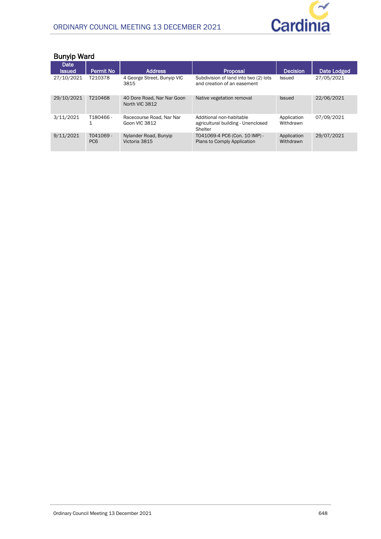

| <b>Bunyip Ward</b>    |                             |                                              |                                                                           |                          |             |  |
|-----------------------|-----------------------------|----------------------------------------------|---------------------------------------------------------------------------|--------------------------|-------------|--|
| Date<br><b>Issued</b> | <b>Permit No</b>            | <b>Address</b>                               | <b>Proposal</b>                                                           | <b>Decision</b>          | Date Lodged |  |
| 27/10/2021            | T210378                     | 4 George Street, Bunyip VIC<br>3815          | Subdivision of land into two (2) lots<br>and creation of an easement      | Issued                   | 27/05/2021  |  |
| 29/10/2021            | T210468                     | 40 Dore Road, Nar Nar Goon<br>North VIC 3812 | Native vegetation removal                                                 | <b>Issued</b>            | 22/06/2021  |  |
| 3/11/2021             | T180466-                    | Racecourse Road, Nar Nar<br>Goon VIC 3812    | Additional non-habitable<br>agricultural building - Unenclosed<br>Shelter | Application<br>Withdrawn | 07/09/2021  |  |
| 9/11/2021             | T041069-<br>PC <sub>6</sub> | Nylander Road, Bunyip<br>Victoria 3815       | T041069-4 PC6 (Con. 10 IMP) -<br>Plans to Comply Application              | Application<br>Withdrawn | 29/07/2021  |  |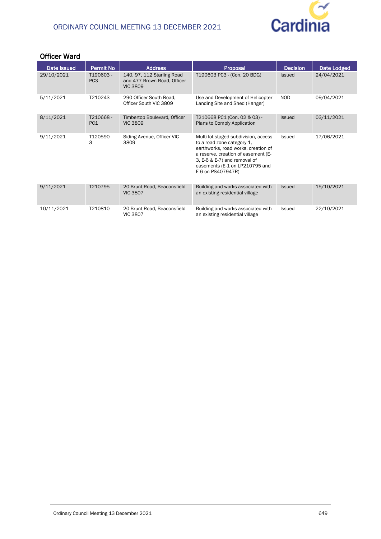

## **Officer Ward**

| Date Issued | <b>Permit No</b>            | <b>Address</b>                                                               | Proposal                                                                                                                                                                                                                                | <b>Decision</b> | Date Lodged |
|-------------|-----------------------------|------------------------------------------------------------------------------|-----------------------------------------------------------------------------------------------------------------------------------------------------------------------------------------------------------------------------------------|-----------------|-------------|
| 29/10/2021  | T190603-<br>PC <sub>3</sub> | 140, 97, 112 Starling Road<br>and 477 Brown Road, Officer<br><b>VIC 3809</b> | T190603 PC3 - (Con. 20 BDG)                                                                                                                                                                                                             | <b>Issued</b>   | 24/04/2021  |
| 5/11/2021   | T210243                     | 290 Officer South Road,<br>Officer South VIC 3809                            | Use and Development of Helicopter<br>Landing Site and Shed (Hanger)                                                                                                                                                                     | <b>NOD</b>      | 09/04/2021  |
| 8/11/2021   | T210668-<br>PC <sub>1</sub> | Timbertop Boulevard, Officer<br><b>VIC 3809</b>                              | T210668 PC1 (Con. 02 & 03) -<br>Plans to Comply Application                                                                                                                                                                             | <b>Issued</b>   | 03/11/2021  |
| 9/11/2021   | T120590-<br>3               | Siding Avenue, Officer VIC<br>3809                                           | Multi lot staged subdivision, access<br>to a road zone category 1,<br>earthworks, road works, creation of<br>a reserve, creation of easement (E-<br>3, E-6 & E-7) and removal of<br>easements (E-1 on LP210795 and<br>E-6 on PS407947R) | Issued          | 17/06/2021  |
| 9/11/2021   | T210795                     | 20 Brunt Road, Beaconsfield<br><b>VIC 3807</b>                               | Building and works associated with<br>an existing residential village                                                                                                                                                                   | <b>Issued</b>   | 15/10/2021  |
| 10/11/2021  | T210810                     | 20 Brunt Road, Beaconsfield<br><b>VIC 3807</b>                               | Building and works associated with<br>an existing residential village                                                                                                                                                                   | Issued          | 22/10/2021  |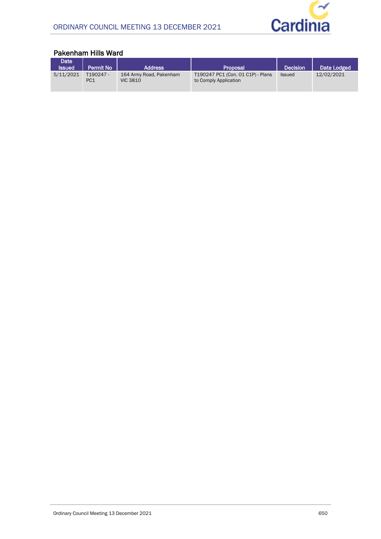

#### **Date ISSUED 241 CHECKS PROPOSAL PROPOSAL PROPOSAL PROPOSAL Date Lodged**<br> **ISSUED 164 Army Road, Pakenham 190247 PC1 (Con. 01 C1P)** - Plans Issued 12/02/2021  $5/11/2021$ PC<sub>1</sub> 164 Army Road, Pakenham VIC 3810 T190247 PC1 (Con. 01 C1P) - Plans to Comply Application Issued 12/02/2021

### **Pakenham Hills Ward**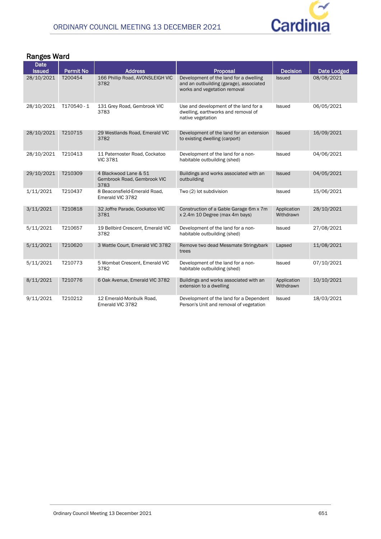

## **Ranges Ward**

| <b>Date</b><br><b>Issued</b> | <b>Permit No</b> | <b>Address</b>                                               | Proposal                                                                                                          | <b>Decision</b>          | Date Lodged |
|------------------------------|------------------|--------------------------------------------------------------|-------------------------------------------------------------------------------------------------------------------|--------------------------|-------------|
| 28/10/2021                   | T200454          | 166 Phillip Road, AVONSLEIGH VIC<br>3782                     | Development of the land for a dwelling<br>and an outbuilding (garage), associated<br>works and vegetation removal | <b>Issued</b>            | 08/08/2021  |
| 28/10/2021                   | T170540 - 1      | 131 Grey Road, Gembrook VIC<br>3783                          | Use and development of the land for a<br>dwelling, earthworks and removal of<br>native vegetation                 | Issued                   | 06/05/2021  |
| 28/10/2021                   | T210715          | 29 Westlands Road, Emerald VIC<br>3782                       | Development of the land for an extension<br>to existing dwelling (carport)                                        | <b>Issued</b>            | 16/09/2021  |
| 28/10/2021                   | T210413          | 11 Paternoster Road, Cockatoo<br><b>VIC 3781</b>             | Development of the land for a non-<br>habitable outbuilding (shed)                                                | Issued                   | 04/06/2021  |
| 29/10/2021                   | T210309          | 4 Blackwood Lane & 51<br>Gembrook Road, Gembrook VIC<br>3783 | Buildings and works associated with an<br>outbuilding                                                             | Issued                   | 04/05/2021  |
| 1/11/2021                    | T210437          | 8 Beaconsfield-Emerald Road,<br>Emerald VIC 3782             | Two (2) lot subdivision                                                                                           | Issued                   | 15/06/2021  |
| 3/11/2021                    | T210818          | 32 Joffre Parade, Cockatoo VIC<br>3781                       | Construction of a Gable Garage 6m x 7m<br>x 2.4m 10 Degree (max 4m bays)                                          | Application<br>Withdrawn | 28/10/2021  |
| 5/11/2021                    | T210657          | 19 Bellbird Crescent, Emerald VIC<br>3782                    | Development of the land for a non-<br>habitable outbuilding (shed)                                                | Issued                   | 27/08/2021  |
| 5/11/2021                    | T210620          | 3 Wattle Court, Emerald VIC 3782                             | Remove two dead Messmate Stringybark<br>trees                                                                     | Lapsed                   | 11/08/2021  |
| 5/11/2021                    | T210773          | 5 Wombat Crescent, Emerald VIC<br>3782                       | Development of the land for a non-<br>habitable outbuilding (shed)                                                | Issued                   | 07/10/2021  |
| 8/11/2021                    | T210776          | 6 Oak Avenue, Emerald VIC 3782                               | Buildings and works associated with an<br>extension to a dwelling                                                 | Application<br>Withdrawn | 10/10/2021  |
| 9/11/2021                    | T210212          | 12 Emerald-Monbulk Road,<br>Emerald VIC 3782                 | Development of the land for a Dependent<br>Person's Unit and removal of vegetation                                | Issued                   | 18/03/2021  |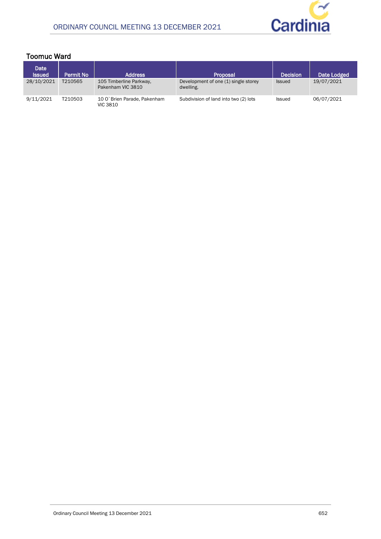

## **Toomuc Ward**

| Date<br><b>Issued</b> | <b>Permit No</b> | <b>Address</b>                                  | Proposal                                          | <b>Decision</b> | Date Lodged |
|-----------------------|------------------|-------------------------------------------------|---------------------------------------------------|-----------------|-------------|
| 28/10/2021            | T210565          | 105 Timberline Parkway,<br>Pakenham VIC 3810    | Development of one (1) single storey<br>dwelling. | <b>Issued</b>   | 19/07/2021  |
| 9/11/2021             | T210503          | 10 O' Brien Parade, Pakenham<br><b>VIC 3810</b> | Subdivision of land into two (2) lots             | Issued          | 06/07/2021  |